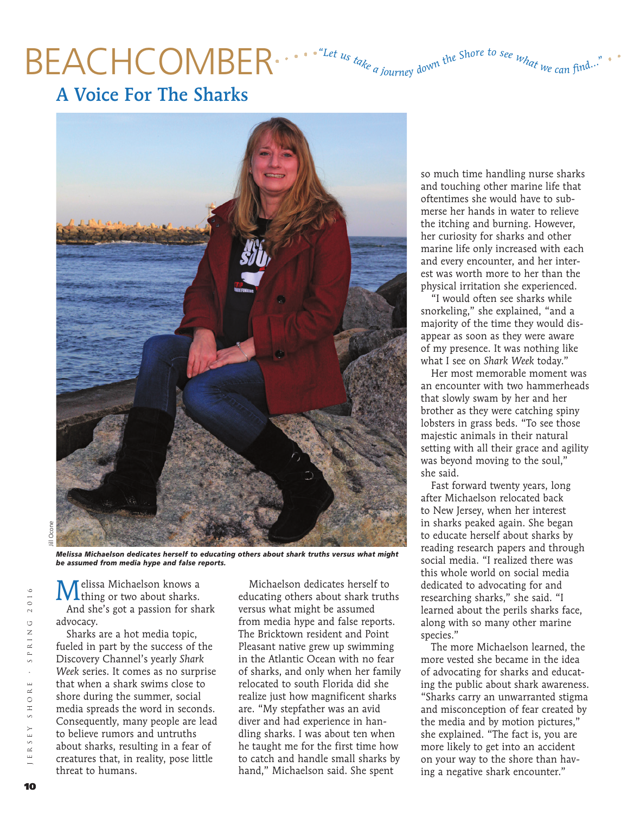## BEACHCOMBER .... "Let us take a journey down the Shore to see what we can find

A Voice For The Sharks



*Melissa Michaelson dedicates herself to educating others about shark truths versus what might be assumed from media hype and false reports.*

**M** elissa Michaelson knows a charks. And she's got a passion for shark advocacy.

Sharks are a hot media topic, fueled in part by the success of the Discovery Channel's yearly *Shark Week* series. It comes as no surprise that when a shark swims close to shore during the summer, social media spreads the word in seconds. Consequently, many people are lead to believe rumors and untruths about sharks, resulting in a fear of creatures that, in reality, pose little threat to humans.

Michaelson dedicates herself to educating others about shark truths versus what might be assumed from media hype and false reports. The Bricktown resident and Point Pleasant native grew up swimming in the Atlantic Ocean with no fear of sharks, and only when her family relocated to south Florida did she realize just how magnificent sharks are. "My stepfather was an avid diver and had experience in handling sharks. I was about ten when he taught me for the first time how to catch and handle small sharks by hand," Michaelson said. She spent

so much time handling nurse sharks and touching other marine life that oftentimes she would have to submerse her hands in water to relieve the itching and burning. However, her curiosity for sharks and other marine life only increased with each and every encounter, and her interest was worth more to her than the physical irritation she experienced.

"I would often see sharks while snorkeling," she explained, "and a majority of the time they would disappear as soon as they were aware of my presence. It was nothing like what I see on *Shark Week* today."

Her most memorable moment was an encounter with two hammerheads that slowly swam by her and her brother as they were catching spiny lobsters in grass beds. "To see those majestic animals in their natural setting with all their grace and agility was beyond moving to the soul," she said.

Fast forward twenty years, long after Michaelson relocated back to New Jersey, when her interest in sharks peaked again. She began to educate herself about sharks by reading research papers and through social media. "I realized there was this whole world on social media dedicated to advocating for and researching sharks," she said. "I learned about the perils sharks face, along with so many other marine species."

The more Michaelson learned, the more vested she became in the idea of advocating for sharks and educating the public about shark awareness. "Sharks carry an unwarranted stigma and misconception of fear created by the media and by motion pictures," she explained. "The fact is, you are more likely to get into an accident on your way to the shore than having a negative shark encounter."